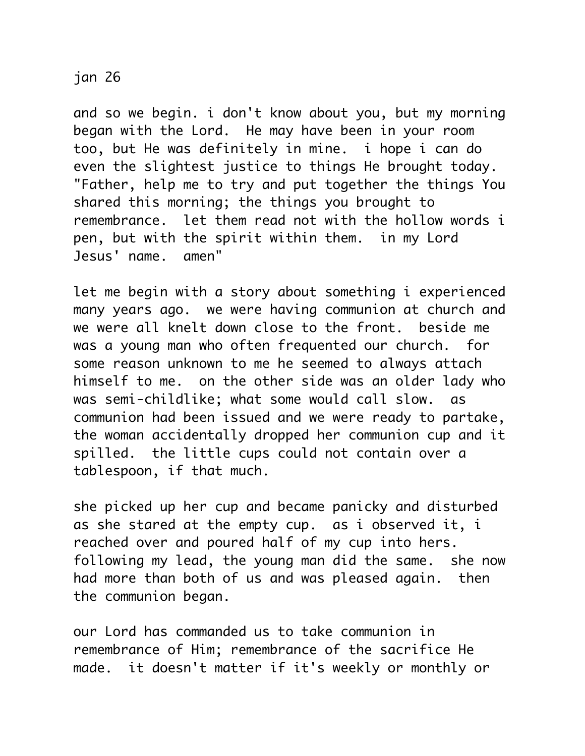## jan 26

and so we begin. i don't know about you, but my morning began with the Lord. He may have been in your room too, but He was definitely in mine. i hope i can do even the slightest justice to things He brought today. "Father, help me to try and put together the things You shared this morning; the things you brought to remembrance. let them read not with the hollow words i pen, but with the spirit within them. in my Lord Jesus' name. amen"

let me begin with a story about something i experienced many years ago. we were having communion at church and we were all knelt down close to the front. beside me was a young man who often frequented our church. for some reason unknown to me he seemed to always attach himself to me. on the other side was an older lady who was semi-childlike; what some would call slow. as communion had been issued and we were ready to partake, the woman accidentally dropped her communion cup and it spilled. the little cups could not contain over a tablespoon, if that much.

she picked up her cup and became panicky and disturbed as she stared at the empty cup. as i observed it, i reached over and poured half of my cup into hers. following my lead, the young man did the same. she now had more than both of us and was pleased again. then the communion began.

our Lord has commanded us to take communion in remembrance of Him; remembrance of the sacrifice He made. it doesn't matter if it's weekly or monthly or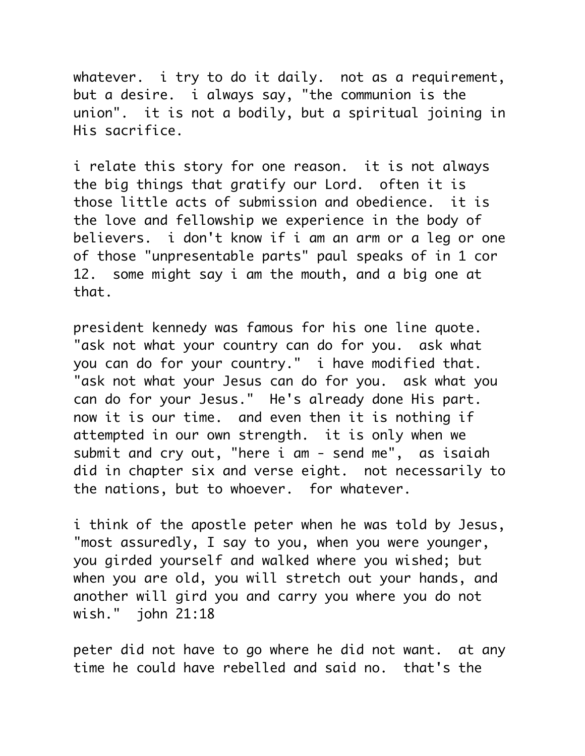whatever. i try to do it daily. not as a requirement, but a desire. i always say, "the communion is the union". it is not a bodily, but a spiritual joining in His sacrifice.

i relate this story for one reason. it is not always the big things that gratify our Lord. often it is those little acts of submission and obedience. it is the love and fellowship we experience in the body of believers. i don't know if i am an arm or a leg or one of those "unpresentable parts" paul speaks of in 1 cor 12. some might say i am the mouth, and a big one at that.

president kennedy was famous for his one line quote. "ask not what your country can do for you. ask what you can do for your country." i have modified that. "ask not what your Jesus can do for you. ask what you can do for your Jesus." He's already done His part. now it is our time. and even then it is nothing if attempted in our own strength. it is only when we submit and cry out, "here i am - send me", as isaiah did in chapter six and verse eight. not necessarily to the nations, but to whoever. for whatever.

i think of the apostle peter when he was told by Jesus, "most assuredly, I say to you, when you were younger, you girded yourself and walked where you wished; but when you are old, you will stretch out your hands, and another will gird you and carry you where you do not wish." john 21:18

peter did not have to go where he did not want. at any time he could have rebelled and said no. that's the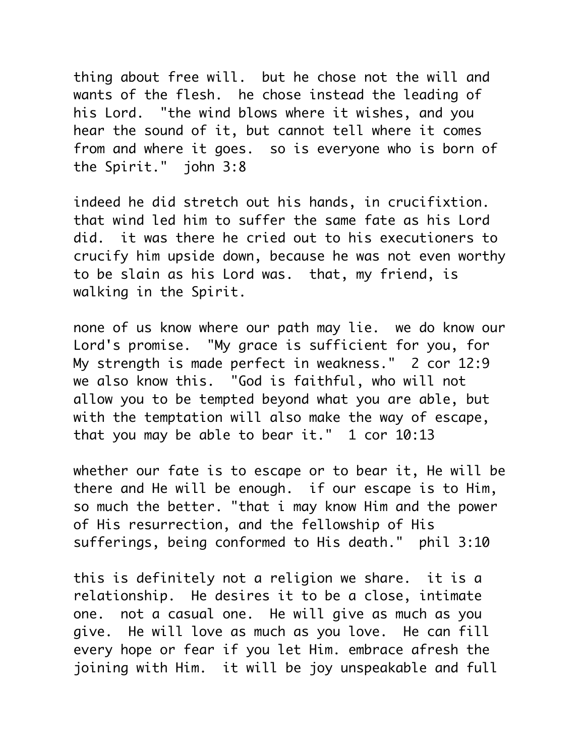thing about free will. but he chose not the will and wants of the flesh. he chose instead the leading of his Lord. "the wind blows where it wishes, and you hear the sound of it, but cannot tell where it comes from and where it goes. so is everyone who is born of the Spirit." john 3:8

indeed he did stretch out his hands, in crucifixtion. that wind led him to suffer the same fate as his Lord did. it was there he cried out to his executioners to crucify him upside down, because he was not even worthy to be slain as his Lord was. that, my friend, is walking in the Spirit.

none of us know where our path may lie. we do know our Lord's promise. "My grace is sufficient for you, for My strength is made perfect in weakness." 2 cor 12:9 we also know this. "God is faithful, who will not allow you to be tempted beyond what you are able, but with the temptation will also make the way of escape, that you may be able to bear it." 1 cor 10:13

whether our fate is to escape or to bear it, He will be there and He will be enough. if our escape is to Him, so much the better. "that i may know Him and the power of His resurrection, and the fellowship of His sufferings, being conformed to His death." phil 3:10

this is definitely not a religion we share. it is a relationship. He desires it to be a close, intimate one. not a casual one. He will give as much as you give. He will love as much as you love. He can fill every hope or fear if you let Him. embrace afresh the joining with Him. it will be joy unspeakable and full